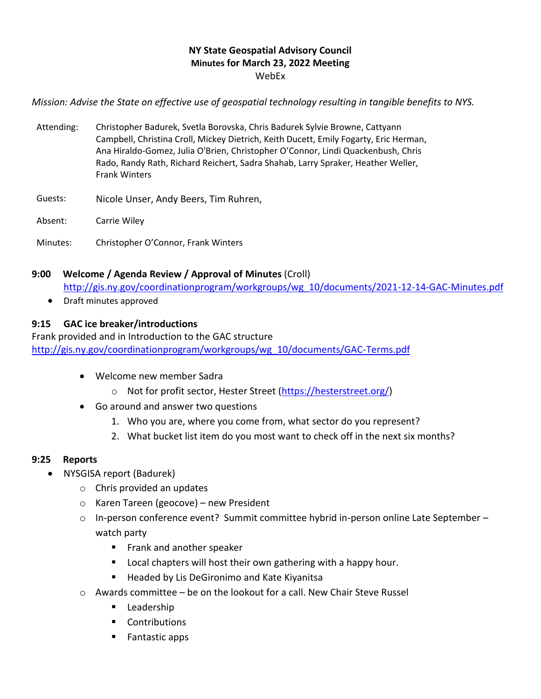### **NY State Geospatial Advisory Council Minutes for March 23, 2022 Meeting** WebEx

*Mission: Advise the State on effective use of geospatial technology resulting in tangible benefits to NYS.*

- Attending: Christopher Badurek, Svetla Borovska, Chris Badurek Sylvie Browne, Cattyann Campbell, Christina Croll, Mickey Dietrich, Keith Ducett, Emily Fogarty, Eric Herman, Ana Hiraldo-Gomez, Julia O'Brien, Christopher O'Connor, Lindi Quackenbush, Chris Rado, Randy Rath, Richard Reichert, Sadra Shahab, Larry Spraker, Heather Weller, Frank Winters
- Guests: Nicole Unser, Andy Beers, Tim Ruhren,
- Absent: Carrie Wiley
- Minutes: Christopher O'Connor, Frank Winters

#### **9:00 Welcome / Agenda Review / Approval of Minutes** (Croll)

[http://gis.ny.gov/coordinationprogram/workgroups/wg\\_10/documents/2021-12-14-GAC-Minutes.pdf](http://gis.ny.gov/coordinationprogram/workgroups/wg_10/documents/2021-12-14-GAC-Minutes.pdf)

• Draft minutes approved

#### **9:15 GAC ice breaker/introductions**

Frank provided and in Introduction to the GAC structure [http://gis.ny.gov/coordinationprogram/workgroups/wg\\_10/documents/GAC-Terms.pdf](http://gis.ny.gov/coordinationprogram/workgroups/wg_10/documents/GAC-Terms.pdf)

- Welcome new member Sadra
	- o Not for profit sector, Hester Street [\(https://hesterstreet.org/\)](https://hesterstreet.org/)
- Go around and answer two questions
	- 1. Who you are, where you come from, what sector do you represent?
	- 2. What bucket list item do you most want to check off in the next six months?

#### **9:25 Reports**

- NYSGISA report (Badurek)
	- o Chris provided an updates
	- o Karen Tareen (geocove) new President
	- $\circ$  In-person conference event? Summit committee hybrid in-person online Late September watch party
		- Frank and another speaker
		- Local chapters will host their own gathering with a happy hour.
		- Headed by Lis DeGironimo and Kate Kiyanitsa
	- $\circ$  Awards committee be on the lookout for a call. New Chair Steve Russel
		- **■** Leadership
		- Contributions
		- Fantastic apps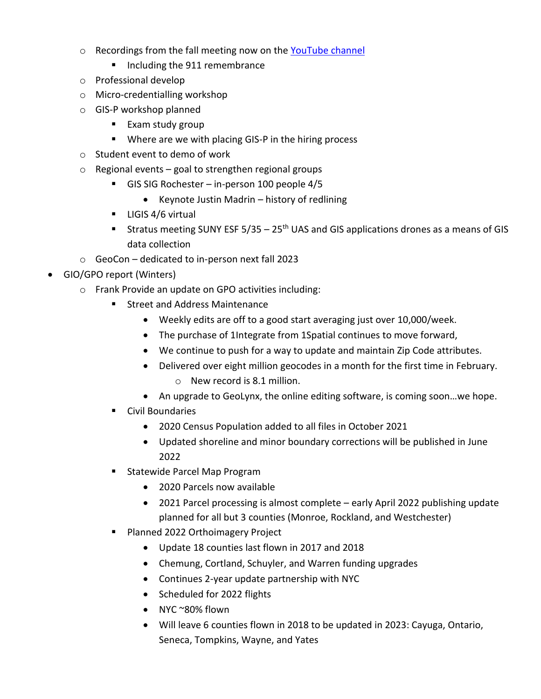- o Recordings from the fall meeting now on the [YouTube](https://www.youtube.com/c/NYSGISAssociation) channel
	- Including the 911 remembrance
- o Professional develop
- o Micro-credentialling workshop
- o GIS-P workshop planned
	- Exam study group
	- Where are we with placing GIS-P in the hiring process
- o Student event to demo of work
- $\circ$  Regional events goal to strengthen regional groups
	- GIS SIG Rochester in-person 100 people 4/5
		- Keynote Justin Madrin history of redlining
	- **■** LIGIS 4/6 virtual
	- **E** Stratus meeting SUNY ESF 5/35 25<sup>th</sup> UAS and GIS applications drones as a means of GIS data collection
- o GeoCon dedicated to in-person next fall 2023
- GIO/GPO report (Winters)
	- o Frank Provide an update on GPO activities including:
		- Street and Address Maintenance
			- Weekly edits are off to a good start averaging just over 10,000/week.
			- The purchase of 1Integrate from 1Spatial continues to move forward,
			- We continue to push for a way to update and maintain Zip Code attributes.
			- Delivered over eight million geocodes in a month for the first time in February. o New record is 8.1 million.
			- An upgrade to GeoLynx, the online editing software, is coming soon...we hope.
		- Civil Boundaries
			- 2020 Census Population added to all files in October 2021
			- Updated shoreline and minor boundary corrections will be published in June 2022
		- Statewide Parcel Map Program
			- 2020 Parcels now available
			- 2021 Parcel processing is almost complete early April 2022 publishing update planned for all but 3 counties (Monroe, Rockland, and Westchester)
		- Planned 2022 Orthoimagery Project
			- Update 18 counties last flown in 2017 and 2018
			- Chemung, Cortland, Schuyler, and Warren funding upgrades
			- Continues 2-year update partnership with NYC
			- Scheduled for 2022 flights
			- NYC ~80% flown
			- Will leave 6 counties flown in 2018 to be updated in 2023: Cayuga, Ontario, Seneca, Tompkins, Wayne, and Yates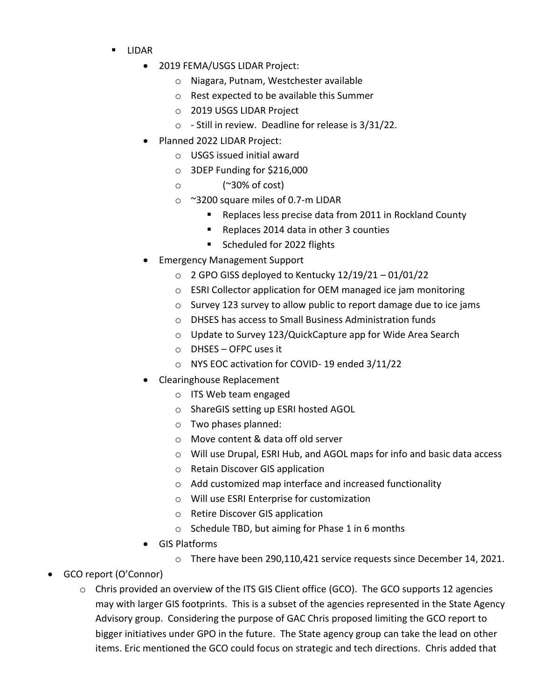- LIDAR
	- 2019 FEMA/USGS LIDAR Project:
		- o Niagara, Putnam, Westchester available
		- o Rest expected to be available this Summer
		- o 2019 USGS LIDAR Project
		- o Still in review. Deadline for release is 3/31/22.
	- Planned 2022 LIDAR Project:
		- o USGS issued initial award
		- o 3DEP Funding for \$216,000
		- o (~30% of cost)
		- o ~3200 square miles of 0.7-m LIDAR
			- Replaces less precise data from 2011 in Rockland County
			- Replaces 2014 data in other 3 counties
			- Scheduled for 2022 flights
	- Emergency Management Support
		- $\circ$  2 GPO GISS deployed to Kentucky 12/19/21 01/01/22
		- o ESRI Collector application for OEM managed ice jam monitoring
		- o Survey 123 survey to allow public to report damage due to ice jams
		- o DHSES has access to Small Business Administration funds
		- o Update to Survey 123/QuickCapture app for Wide Area Search
		- o DHSES OFPC uses it
		- o NYS EOC activation for COVID- 19 ended 3/11/22
	- Clearinghouse Replacement
		- o ITS Web team engaged
		- o ShareGIS setting up ESRI hosted AGOL
		- o Two phases planned:
		- o Move content & data off old server
		- o Will use Drupal, ESRI Hub, and AGOL maps for info and basic data access
		- o Retain Discover GIS application
		- o Add customized map interface and increased functionality
		- o Will use ESRI Enterprise for customization
		- o Retire Discover GIS application
		- o Schedule TBD, but aiming for Phase 1 in 6 months
	- GIS Platforms
		- o There have been 290,110,421 service requests since December 14, 2021.
- GCO report (O'Connor)
	- $\circ$  Chris provided an overview of the ITS GIS Client office (GCO). The GCO supports 12 agencies may with larger GIS footprints. This is a subset of the agencies represented in the State Agency Advisory group. Considering the purpose of GAC Chris proposed limiting the GCO report to bigger initiatives under GPO in the future. The State agency group can take the lead on other items. Eric mentioned the GCO could focus on strategic and tech directions. Chris added that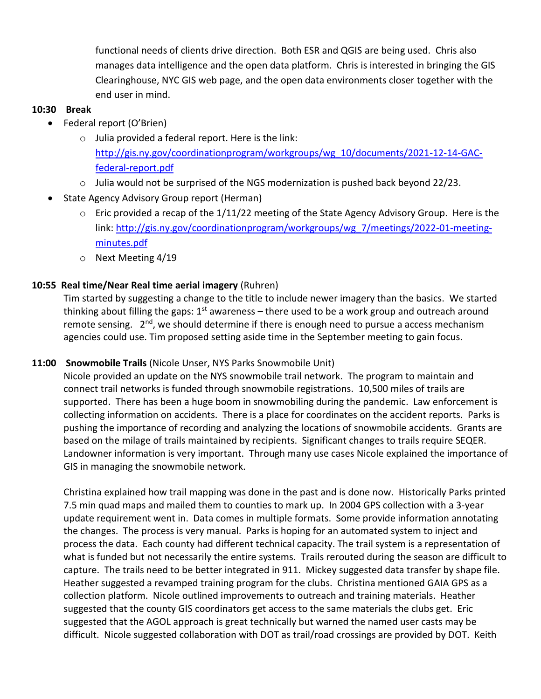functional needs of clients drive direction. Both ESR and QGIS are being used. Chris also manages data intelligence and the open data platform. Chris is interested in bringing the GIS Clearinghouse, NYC GIS web page, and the open data environments closer together with the end user in mind.

#### **10:30 Break**

- Federal report (O'Brien)
	- o Julia provided a federal report. Here is the link: [http://gis.ny.gov/coordinationprogram/workgroups/wg\\_10/documents/2021-12-14-GAC](http://gis.ny.gov/coordinationprogram/workgroups/wg_10/documents/2021-12-14-GAC-federal-report.pdf)[federal-report.pdf](http://gis.ny.gov/coordinationprogram/workgroups/wg_10/documents/2021-12-14-GAC-federal-report.pdf)
	- o Julia would not be surprised of the NGS modernization is pushed back beyond 22/23.
- State Agency Advisory Group report (Herman)
	- $\circ$  Eric provided a recap of the 1/11/22 meeting of the State Agency Advisory Group. Here is the link: [http://gis.ny.gov/coordinationprogram/workgroups/wg\\_7/meetings/2022-01-meeting](http://gis.ny.gov/coordinationprogram/workgroups/wg_7/meetings/2022-01-meeting-minutes.pdf)[minutes.pdf](http://gis.ny.gov/coordinationprogram/workgroups/wg_7/meetings/2022-01-meeting-minutes.pdf)
	- o Next Meeting 4/19

## **10:55 Real time/Near Real time aerial imagery** (Ruhren)

Tim started by suggesting a change to the title to include newer imagery than the basics. We started thinking about filling the gaps:  $1<sup>st</sup>$  awareness – there used to be a work group and outreach around remote sensing.  $2^{nd}$ , we should determine if there is enough need to pursue a access mechanism agencies could use. Tim proposed setting aside time in the September meeting to gain focus.

#### **11:00 Snowmobile Trails** (Nicole Unser, NYS Parks Snowmobile Unit)

Nicole provided an update on the NYS snowmobile trail network. The program to maintain and connect trail networks is funded through snowmobile registrations. 10,500 miles of trails are supported. There has been a huge boom in snowmobiling during the pandemic. Law enforcement is collecting information on accidents. There is a place for coordinates on the accident reports. Parks is pushing the importance of recording and analyzing the locations of snowmobile accidents. Grants are based on the milage of trails maintained by recipients. Significant changes to trails require SEQER. Landowner information is very important. Through many use cases Nicole explained the importance of GIS in managing the snowmobile network.

Christina explained how trail mapping was done in the past and is done now. Historically Parks printed 7.5 min quad maps and mailed them to counties to mark up. In 2004 GPS collection with a 3-year update requirement went in. Data comes in multiple formats. Some provide information annotating the changes. The process is very manual. Parks is hoping for an automated system to inject and process the data. Each county had different technical capacity. The trail system is a representation of what is funded but not necessarily the entire systems. Trails rerouted during the season are difficult to capture. The trails need to be better integrated in 911. Mickey suggested data transfer by shape file. Heather suggested a revamped training program for the clubs. Christina mentioned GAIA GPS as a collection platform. Nicole outlined improvements to outreach and training materials. Heather suggested that the county GIS coordinators get access to the same materials the clubs get. Eric suggested that the AGOL approach is great technically but warned the named user casts may be difficult. Nicole suggested collaboration with DOT as trail/road crossings are provided by DOT. Keith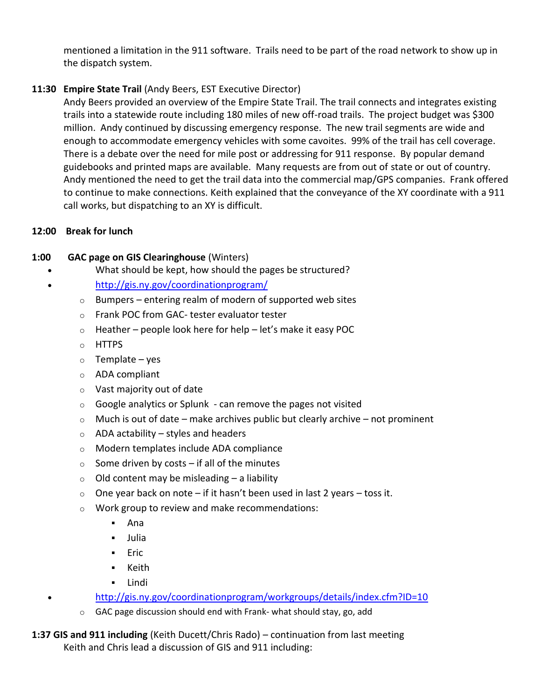mentioned a limitation in the 911 software. Trails need to be part of the road network to show up in the dispatch system.

# **11:30 Empire State Trail** (Andy Beers, EST Executive Director)

Andy Beers provided an overview of the Empire State Trail. The trail connects and integrates existing trails into a statewide route including 180 miles of new off-road trails. The project budget was \$300 million. Andy continued by discussing emergency response. The new trail segments are wide and enough to accommodate emergency vehicles with some cavoites. 99% of the trail has cell coverage. There is a debate over the need for mile post or addressing for 911 response. By popular demand guidebooks and printed maps are available. Many requests are from out of state or out of country. Andy mentioned the need to get the trail data into the commercial map/GPS companies. Frank offered to continue to make connections. Keith explained that the conveyance of the XY coordinate with a 911 call works, but dispatching to an XY is difficult.

## **12:00 Break for lunch**

## **1:00 GAC page on GIS Clearinghouse** (Winters)

- What should be kept, how should the pages be structured?
	- <http://gis.ny.gov/coordinationprogram/>
		- $\circ$  Bumpers entering realm of modern of supported web sites
		- o Frank POC from GAC- tester evaluator tester
		- $\circ$  Heather people look here for help let's make it easy POC
		- o HTTPS
		- $o$  Template yes
		- o ADA compliant
		- o Vast majority out of date
		- $\circ$  Google analytics or Splunk can remove the pages not visited
		- $\circ$  Much is out of date make archives public but clearly archive not prominent
		- $\circ$  ADA actability styles and headers
		- o Modern templates include ADA compliance
		- $\circ$  Some driven by costs if all of the minutes
		- $\circ$  Old content may be misleading a liability
		- $\circ$  One year back on note if it hasn't been used in last 2 years toss it.
		- o Work group to review and make recommendations:
			- Ana
			- Julia
			- Eric
			- Keith
			- Lindi
- <http://gis.ny.gov/coordinationprogram/workgroups/details/index.cfm?ID=10>
	- o GAC page discussion should end with Frank- what should stay, go, add

**1:37 GIS and 911 including** (Keith Ducett/Chris Rado) – continuation from last meeting Keith and Chris lead a discussion of GIS and 911 including: